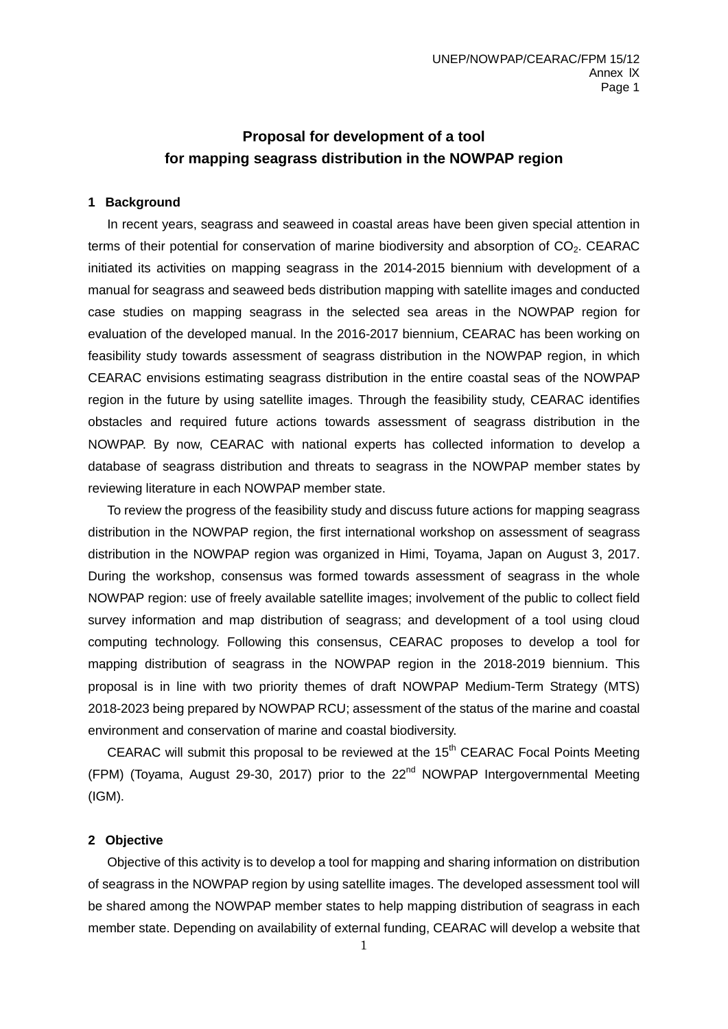# **Proposal for development of a tool for mapping seagrass distribution in the NOWPAP region**

#### **1 Background**

In recent years, seagrass and seaweed in coastal areas have been given special attention in terms of their potential for conservation of marine biodiversity and absorption of  $CO<sub>2</sub>$ . CEARAC initiated its activities on mapping seagrass in the 2014-2015 biennium with development of a manual for seagrass and seaweed beds distribution mapping with satellite images and conducted case studies on mapping seagrass in the selected sea areas in the NOWPAP region for evaluation of the developed manual. In the 2016-2017 biennium, CEARAC has been working on feasibility study towards assessment of seagrass distribution in the NOWPAP region, in which CEARAC envisions estimating seagrass distribution in the entire coastal seas of the NOWPAP region in the future by using satellite images. Through the feasibility study, CEARAC identifies obstacles and required future actions towards assessment of seagrass distribution in the NOWPAP. By now, CEARAC with national experts has collected information to develop a database of seagrass distribution and threats to seagrass in the NOWPAP member states by reviewing literature in each NOWPAP member state.

To review the progress of the feasibility study and discuss future actions for mapping seagrass distribution in the NOWPAP region, the first international workshop on assessment of seagrass distribution in the NOWPAP region was organized in Himi, Toyama, Japan on August 3, 2017. During the workshop, consensus was formed towards assessment of seagrass in the whole NOWPAP region: use of freely available satellite images; involvement of the public to collect field survey information and map distribution of seagrass; and development of a tool using cloud computing technology. Following this consensus, CEARAC proposes to develop a tool for mapping distribution of seagrass in the NOWPAP region in the 2018-2019 biennium. This proposal is in line with two priority themes of draft NOWPAP Medium-Term Strategy (MTS) 2018-2023 being prepared by NOWPAP RCU; assessment of the status of the marine and coastal environment and conservation of marine and coastal biodiversity.

CEARAC will submit this proposal to be reviewed at the  $15<sup>th</sup>$  CEARAC Focal Points Meeting (FPM) (Toyama, August 29-30, 2017) prior to the  $22<sup>nd</sup>$  NOWPAP Intergovernmental Meeting (IGM).

#### **2 Objective**

Objective of this activity is to develop a tool for mapping and sharing information on distribution of seagrass in the NOWPAP region by using satellite images. The developed assessment tool will be shared among the NOWPAP member states to help mapping distribution of seagrass in each member state. Depending on availability of external funding, CEARAC will develop a website that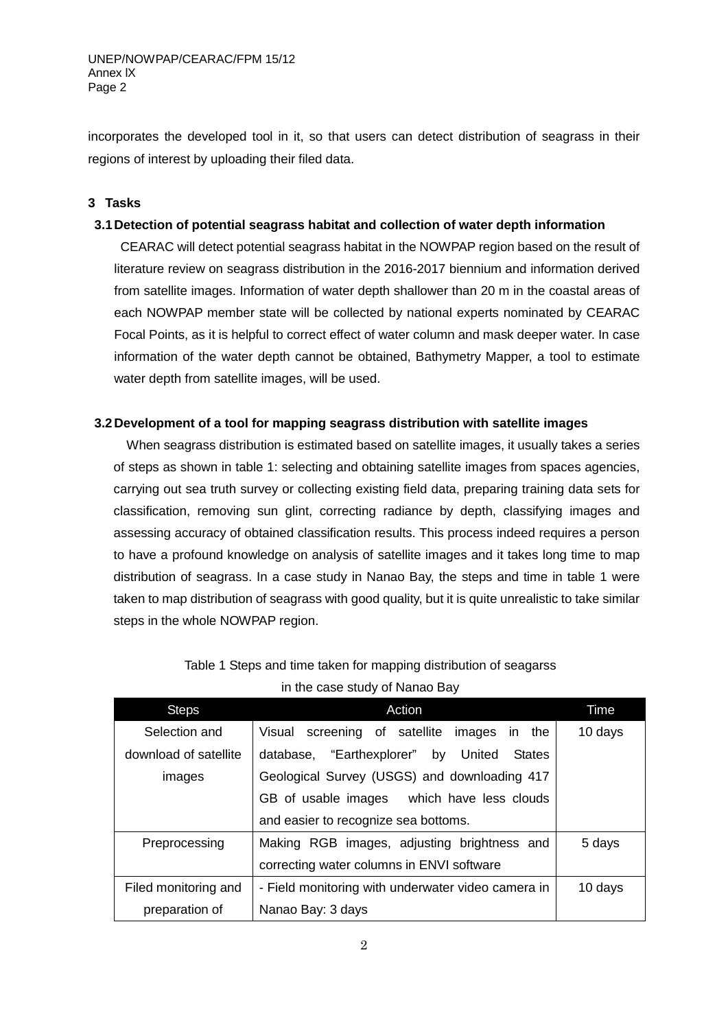incorporates the developed tool in it, so that users can detect distribution of seagrass in their regions of interest by uploading their filed data.

## **3 Tasks**

## **3.1Detection of potential seagrass habitat and collection of water depth information**

CEARAC will detect potential seagrass habitat in the NOWPAP region based on the result of literature review on seagrass distribution in the 2016-2017 biennium and information derived from satellite images. Information of water depth shallower than 20 m in the coastal areas of each NOWPAP member state will be collected by national experts nominated by CEARAC Focal Points, as it is helpful to correct effect of water column and mask deeper water. In case information of the water depth cannot be obtained, Bathymetry Mapper, a tool to estimate water depth from satellite images, will be used.

### **3.2Development of a tool for mapping seagrass distribution with satellite images**

When seagrass distribution is estimated based on satellite images, it usually takes a series of steps as shown in table 1: selecting and obtaining satellite images from spaces agencies, carrying out sea truth survey or collecting existing field data, preparing training data sets for classification, removing sun glint, correcting radiance by depth, classifying images and assessing accuracy of obtained classification results. This process indeed requires a person to have a profound knowledge on analysis of satellite images and it takes long time to map distribution of seagrass. In a case study in Nanao Bay, the steps and time in table 1 were taken to map distribution of seagrass with good quality, but it is quite unrealistic to take similar steps in the whole NOWPAP region.

| <b>Steps</b>          | Action                                             | Time    |  |  |  |
|-----------------------|----------------------------------------------------|---------|--|--|--|
| Selection and         | Visual screening of satellite<br>images in the     | 10 days |  |  |  |
| download of satellite | database, "Earthexplorer" by United States         |         |  |  |  |
| images                | Geological Survey (USGS) and downloading 417       |         |  |  |  |
|                       | GB of usable images which have less clouds         |         |  |  |  |
|                       | and easier to recognize sea bottoms.               |         |  |  |  |
| Preprocessing         | Making RGB images, adjusting brightness and        | 5 days  |  |  |  |
|                       | correcting water columns in ENVI software          |         |  |  |  |
| Filed monitoring and  | - Field monitoring with underwater video camera in | 10 days |  |  |  |
| preparation of        | Nanao Bay: 3 days                                  |         |  |  |  |

|  | Table 1 Steps and time taken for mapping distribution of seagarss |  |  |  |
|--|-------------------------------------------------------------------|--|--|--|
|  | in the case study of Nanao Bay                                    |  |  |  |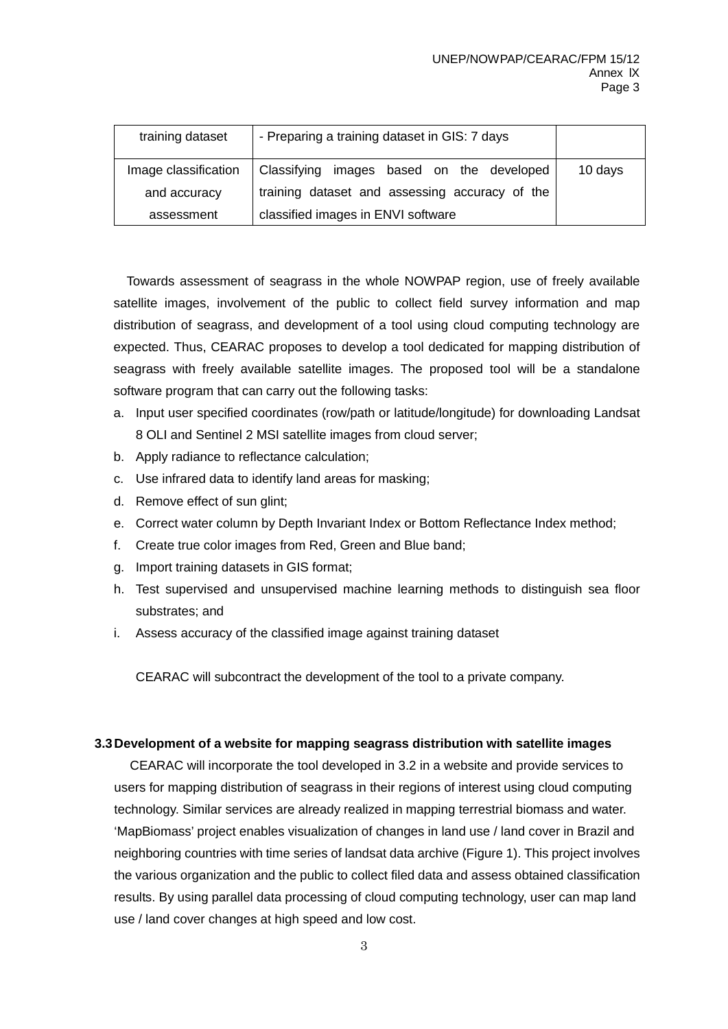| training dataset     | - Preparing a training dataset in GIS: 7 days  |         |
|----------------------|------------------------------------------------|---------|
| Image classification | Classifying images based on the developed      | 10 days |
| and accuracy         | training dataset and assessing accuracy of the |         |
| assessment           | classified images in ENVI software             |         |

Towards assessment of seagrass in the whole NOWPAP region, use of freely available satellite images, involvement of the public to collect field survey information and map distribution of seagrass, and development of a tool using cloud computing technology are expected. Thus, CEARAC proposes to develop a tool dedicated for mapping distribution of seagrass with freely available satellite images. The proposed tool will be a standalone software program that can carry out the following tasks:

- a. Input user specified coordinates (row/path or latitude/longitude) for downloading Landsat 8 OLI and Sentinel 2 MSI satellite images from cloud server;
- b. Apply radiance to reflectance calculation;
- c. Use infrared data to identify land areas for masking;
- d. Remove effect of sun glint;
- e. Correct water column by Depth Invariant Index or Bottom Reflectance Index method;
- f. Create true color images from Red, Green and Blue band;
- g. Import training datasets in GIS format;
- h. Test supervised and unsupervised machine learning methods to distinguish sea floor substrates; and
- i. Assess accuracy of the classified image against training dataset

CEARAC will subcontract the development of the tool to a private company.

### **3.3Development of a website for mapping seagrass distribution with satellite images**

CEARAC will incorporate the tool developed in 3.2 in a website and provide services to users for mapping distribution of seagrass in their regions of interest using cloud computing technology. Similar services are already realized in mapping terrestrial biomass and water. 'MapBiomass' project enables visualization of changes in land use / land cover in Brazil and neighboring countries with time series of landsat data archive (Figure 1). This project involves the various organization and the public to collect filed data and assess obtained classification results. By using parallel data processing of cloud computing technology, user can map land use / land cover changes at high speed and low cost.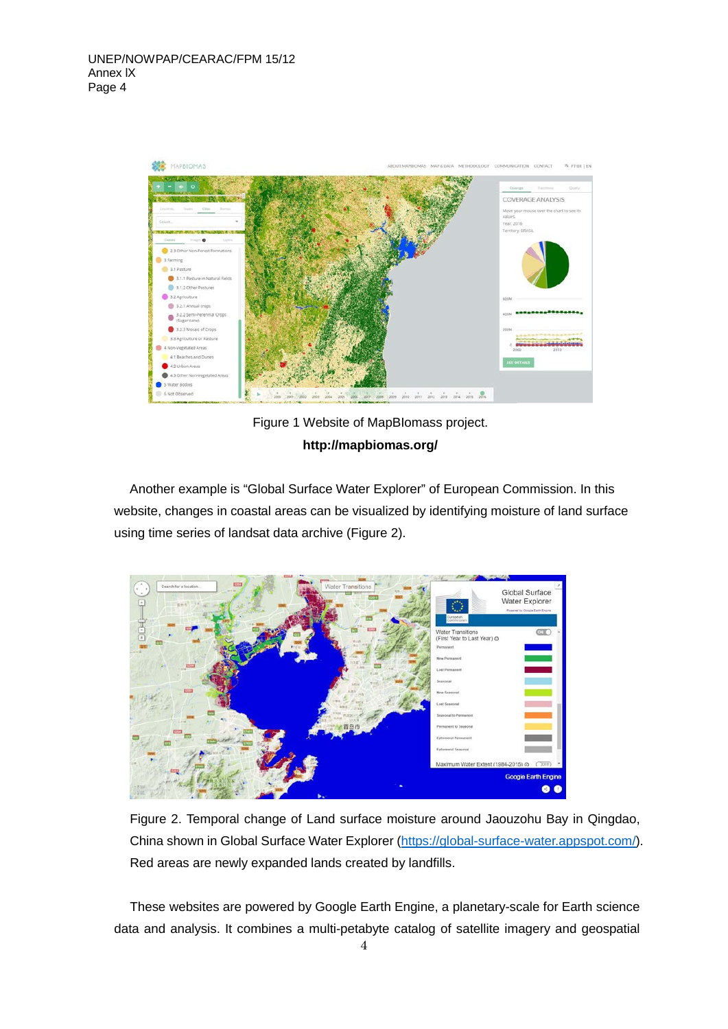

Figure 1 Website of MapBIomass project. **http://mapbiomas.org/**

Another example is "Global Surface Water Explorer" of European Commission. In this website, changes in coastal areas can be visualized by identifying moisture of land surface using time series of landsat data archive (Figure 2).



Figure 2. Temporal change of Land surface moisture around Jaouzohu Bay in Qingdao, China shown in Global Surface Water Explorer [\(https://global-surface-water.appspot.com/\)](https://global-surface-water.appspot.com/). Red areas are newly expanded lands created by landfills.

These websites are powered by Google Earth Engine, a planetary-scale for Earth science data and analysis. It combines a multi-petabyte catalog of satellite imagery and geospatial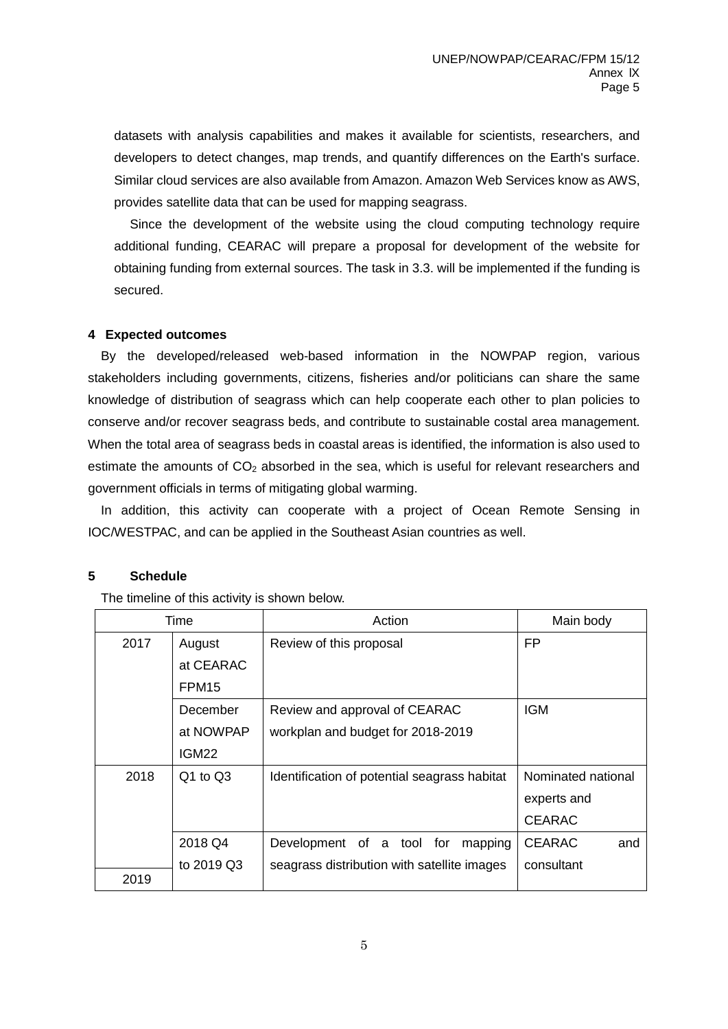datasets with analysis capabilities and makes it available for scientists, researchers, and developers to detect changes, map trends, and quantify differences on the Earth's surface. Similar cloud services are also available from Amazon. Amazon Web Services know as AWS, provides satellite data that can be used for mapping seagrass.

Since the development of the website using the cloud computing technology require additional funding, CEARAC will prepare a proposal for development of the website for obtaining funding from external sources. The task in 3.3. will be implemented if the funding is secured.

#### **4 Expected outcomes**

By the developed/released web-based information in the NOWPAP region, various stakeholders including governments, citizens, fisheries and/or politicians can share the same knowledge of distribution of seagrass which can help cooperate each other to plan policies to conserve and/or recover seagrass beds, and contribute to sustainable costal area management. When the total area of seagrass beds in coastal areas is identified, the information is also used to estimate the amounts of  $CO<sub>2</sub>$  absorbed in the sea, which is useful for relevant researchers and government officials in terms of mitigating global warming.

In addition, this activity can cooperate with a project of Ocean Remote Sensing in IOC/WESTPAC, and can be applied in the Southeast Asian countries as well.

### **5 Schedule**

The timeline of this activity is shown below.

| Time |                   | Action                                       | Main body            |  |
|------|-------------------|----------------------------------------------|----------------------|--|
| 2017 | August            | Review of this proposal                      | FP.                  |  |
|      | at CEARAC         |                                              |                      |  |
|      | FPM <sub>15</sub> |                                              |                      |  |
|      | December          | Review and approval of CEARAC                | <b>IGM</b>           |  |
|      | at NOWPAP         | workplan and budget for 2018-2019            |                      |  |
|      | IGM22             |                                              |                      |  |
| 2018 | Q1 to Q3          | Identification of potential seagrass habitat | Nominated national   |  |
|      |                   |                                              | experts and          |  |
|      |                   |                                              | <b>CEARAC</b>        |  |
|      | 2018 Q4           | Development of a tool for<br>mapping         | <b>CEARAC</b><br>and |  |
|      | to 2019 Q3        | seagrass distribution with satellite images  | consultant           |  |
| 2019 |                   |                                              |                      |  |